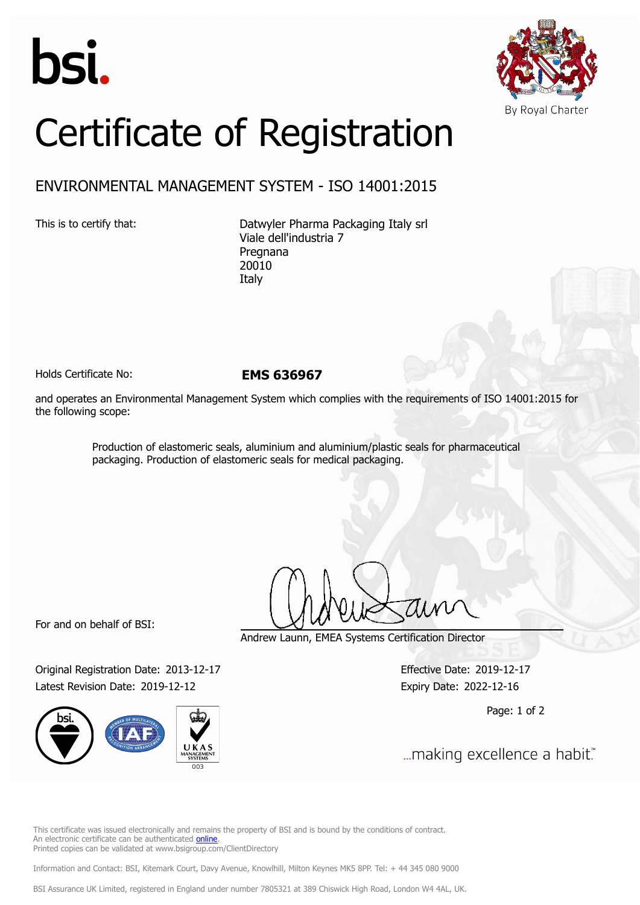



## Certificate of Registration

## ENVIRONMENTAL MANAGEMENT SYSTEM - ISO 14001:2015

This is to certify that: Datwyler Pharma Packaging Italy srl Viale dell'industria 7 Pregnana 20010 Italy

Holds Certificate No: **EMS 636967**

and operates an Environmental Management System which complies with the requirements of ISO 14001:2015 for the following scope:

> Production of elastomeric seals, aluminium and aluminium/plastic seals for pharmaceutical packaging. Production of elastomeric seals for medical packaging.

For and on behalf of BSI:

Original Registration Date: 2013-12-17 Effective Date: 2019-12-17 Latest Revision Date: 2019-12-12 Expiry Date: 2022-12-16



Andrew Launn, EMEA Systems Certification Director

Page: 1 of 2

... making excellence a habit."

This certificate was issued electronically and remains the property of BSI and is bound by the conditions of contract. An electronic certificate can be authenticated [online](https://pgplus.bsigroup.com/CertificateValidation/CertificateValidator.aspx?CertificateNumber=EMS+636967&ReIssueDate=12%2f12%2f2019&Template=cemea_en) Printed copies can be validated at www.bsigroup.com/ClientDirectory

Information and Contact: BSI, Kitemark Court, Davy Avenue, Knowlhill, Milton Keynes MK5 8PP. Tel: + 44 345 080 9000

BSI Assurance UK Limited, registered in England under number 7805321 at 389 Chiswick High Road, London W4 4AL, UK.